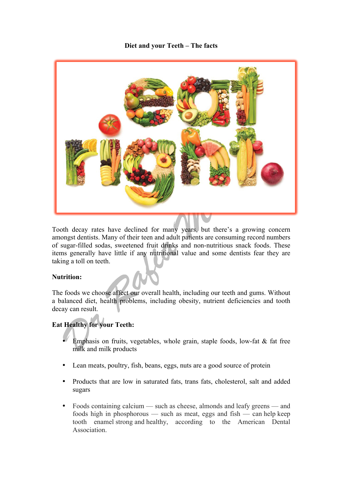## **Diet and your Teeth – The facts**



Tooth decay rates have declined for many years, but there's a growing concern amongst dentists. Many of their teen and adult patients are consuming record numbers of sugar-filled sodas, sweetened fruit drinks and non-nutritious snack foods. These items generally have little if any nutritional value and some dentists fear they are taking a toll on teeth.

## **Nutrition:**

The foods we choose affect our overall health, including our teeth and gums. Without a balanced diet, health problems, including obesity, nutrient deficiencies and tooth decay can result.

## **Eat Healthy for your Teeth:**

- Emphasis on fruits, vegetables, whole grain, staple foods, low-fat  $\&$  fat free milk and milk products
- Lean meats, poultry, fish, beans, eggs, nuts are a good source of protein
- Products that are low in saturated fats, trans fats, cholesterol, salt and added sugars
- Foods containing calcium such as cheese, almonds and leafy greens and foods high in phosphorous — such as meat, eggs and fish — can help keep tooth enamel strong and healthy, according to the American Dental **Association**